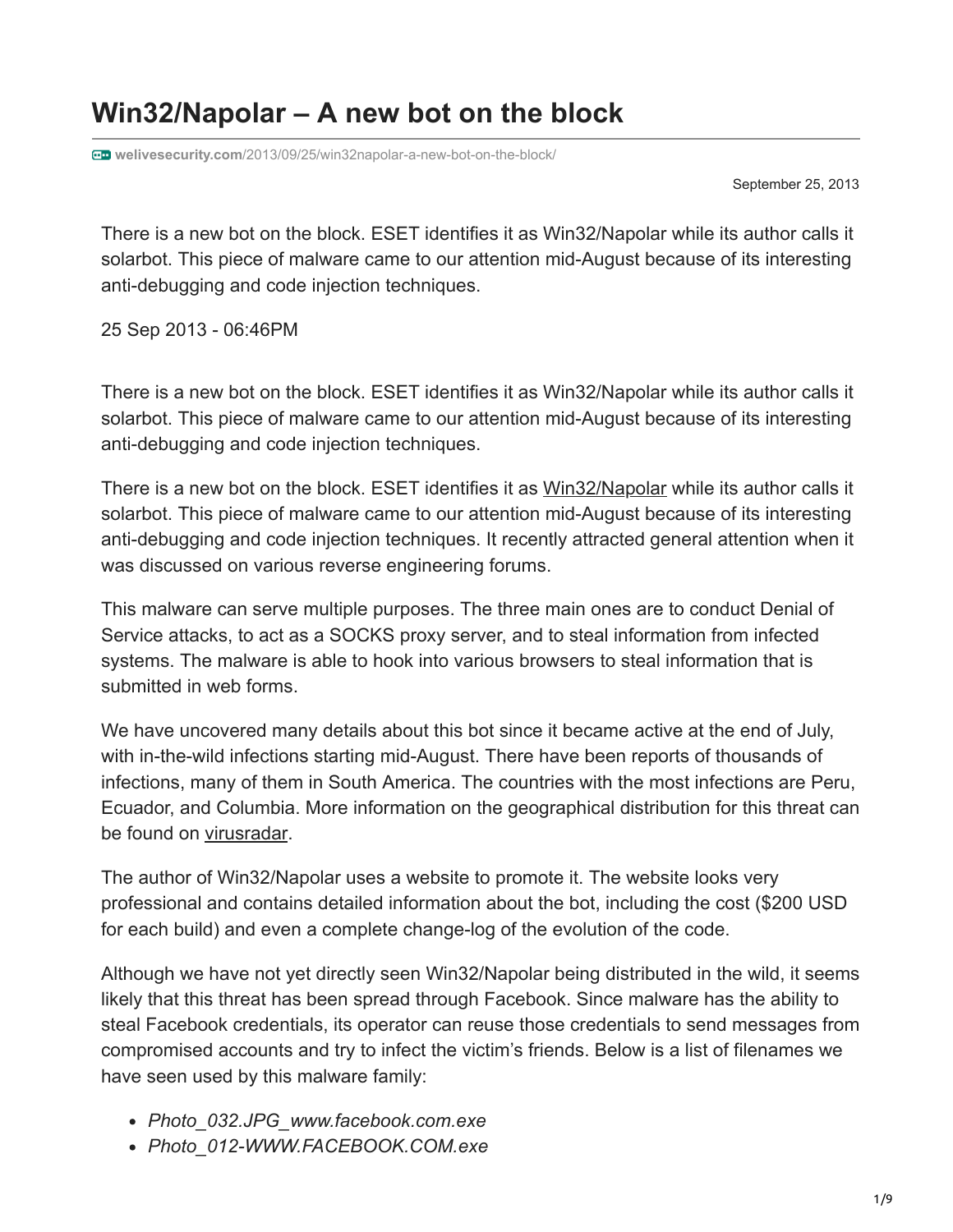# **Win32/Napolar – A new bot on the block**

**welivesecurity.com**[/2013/09/25/win32napolar-a-new-bot-on-the-block/](https://www.welivesecurity.com/2013/09/25/win32napolar-a-new-bot-on-the-block/)

September 25, 2013

There is a new bot on the block. ESET identifies it as Win32/Napolar while its author calls it solarbot. This piece of malware came to our attention mid-August because of its interesting anti-debugging and code injection techniques.

25 Sep 2013 - 06:46PM

There is a new bot on the block. ESET identifies it as Win32/Napolar while its author calls it solarbot. This piece of malware came to our attention mid-August because of its interesting anti-debugging and code injection techniques.

There is a new bot on the block. ESET identifies it as [Win32/Napolar](http://www.virusradar.com/en/Win32_Napolar/detail) while its author calls it solarbot. This piece of malware came to our attention mid-August because of its interesting anti-debugging and code injection techniques. It recently attracted general attention when it was discussed on various reverse engineering forums.

This malware can serve multiple purposes. The three main ones are to conduct Denial of Service attacks, to act as a SOCKS proxy server, and to steal information from infected systems. The malware is able to hook into various browsers to steal information that is submitted in web forms.

We have uncovered many details about this bot since it became active at the end of July, with in-the-wild infections starting mid-August. There have been reports of thousands of infections, many of them in South America. The countries with the most infections are Peru, Ecuador, and Columbia. More information on the geographical distribution for this threat can be found on [virusradar](http://virusradar.com/en/Win32_Napolar/detail).

The author of Win32/Napolar uses a website to promote it. The website looks very professional and contains detailed information about the bot, including the cost (\$200 USD for each build) and even a complete change-log of the evolution of the code.

Although we have not yet directly seen Win32/Napolar being distributed in the wild, it seems likely that this threat has been spread through Facebook. Since malware has the ability to steal Facebook credentials, its operator can reuse those credentials to send messages from compromised accounts and try to infect the victim's friends. Below is a list of filenames we have seen used by this malware family:

- *Photo\_032.JPG\_www.facebook.com.exe*
- *Photo\_012-WWW.FACEBOOK.COM.exe*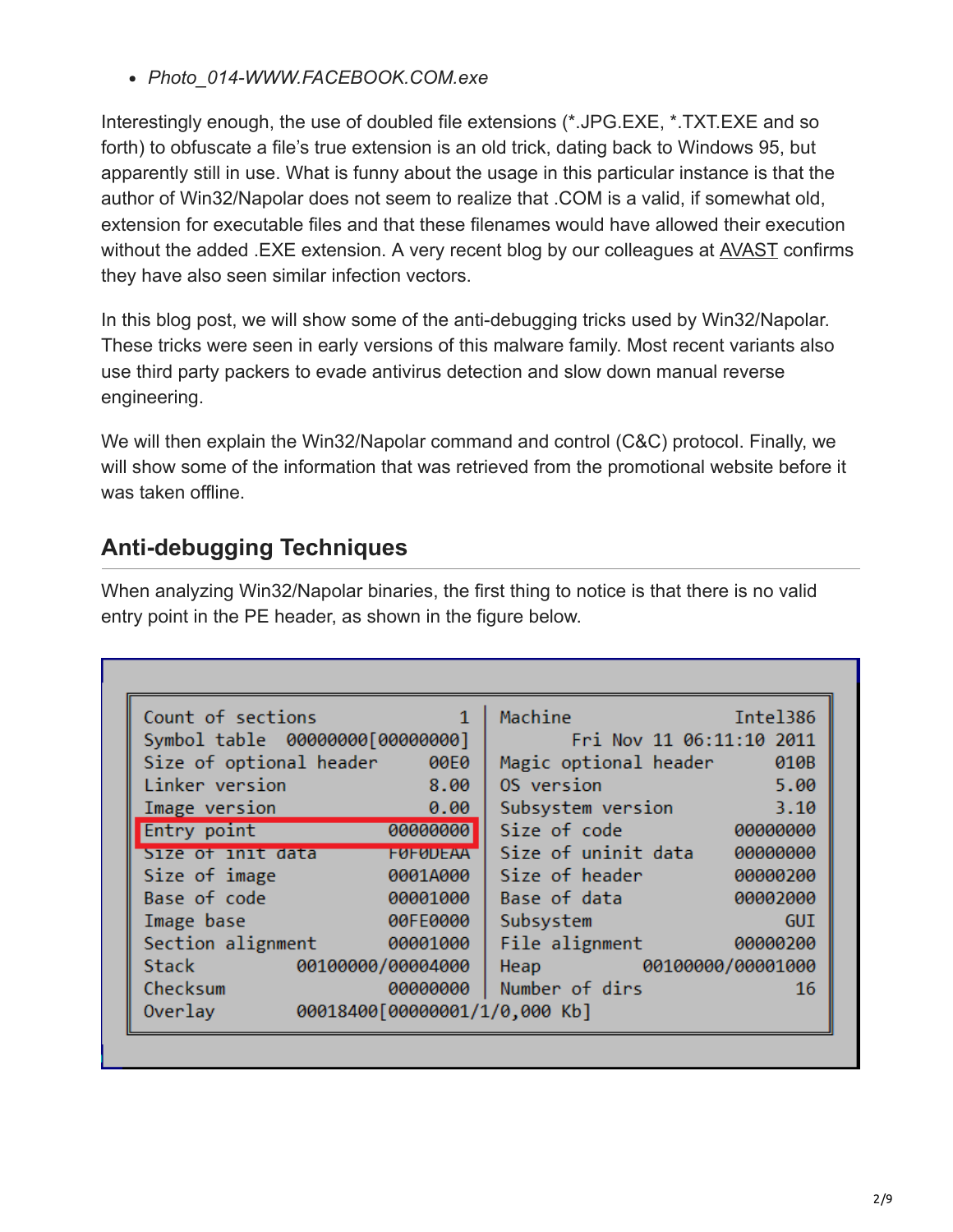*Photo\_014-WWW.FACEBOOK.COM.exe*

Interestingly enough, the use of doubled file extensions (\*.JPG.EXE, \*.TXT.EXE and so forth) to obfuscate a file's true extension is an old trick, dating back to Windows 95, but apparently still in use. What is funny about the usage in this particular instance is that the author of Win32/Napolar does not seem to realize that .COM is a valid, if somewhat old, extension for executable files and that these filenames would have allowed their execution without the added .EXE extension. A very recent blog by our colleagues at [AVAST](https://blog.avast.com/2013/09/25/win3264napolar-new-trojan-shines-on-the-cyber-crime-scene/) confirms they have also seen similar infection vectors.

In this blog post, we will show some of the anti-debugging tricks used by Win32/Napolar. These tricks were seen in early versions of this malware family. Most recent variants also use third party packers to evade antivirus detection and slow down manual reverse engineering.

We will then explain the Win32/Napolar command and control (C&C) protocol. Finally, we will show some of the information that was retrieved from the promotional website before it was taken offline.

# **Anti-debugging Techniques**

When analyzing Win32/Napolar binaries, the first thing to notice is that there is no valid entry point in the PE header, as shown in the figure below.

| Count of sections       | $\mathbf{1}$                  | Machine                    | Intel386   |
|-------------------------|-------------------------------|----------------------------|------------|
|                         |                               | Fri Nov 11 06:11:10 2011   |            |
| Size of optional header | <b>99E0</b>                   | Magic optional header 010B |            |
| Linker version          | 8.00                          | OS version                 | 5.00       |
| Image version           | 0.00                          | Subsystem version          | 3.10       |
| Entry point             | 00000000                      | Size of code               |            |
| Size of init data       | <b>FUFUDEAA</b>               | Size of uninit data        | 00000000   |
| Size of image           | 0001A000                      | Size of header             | 00000200   |
| Base of code            | 00001000                      | Base of data               | 00002000   |
| Image base              | 00FE0000                      | Subsystem                  | <b>GUI</b> |
| Section alignment       | 00001000                      | File alignment 00000200    |            |
| Stack 00100000/00004000 |                               | Heap 00100000/00001000     |            |
| Checksum                |                               | 00000000   Number of dirs  | 16         |
| Overlay                 | 00018400[00000001/1/0,000 Kb] |                            |            |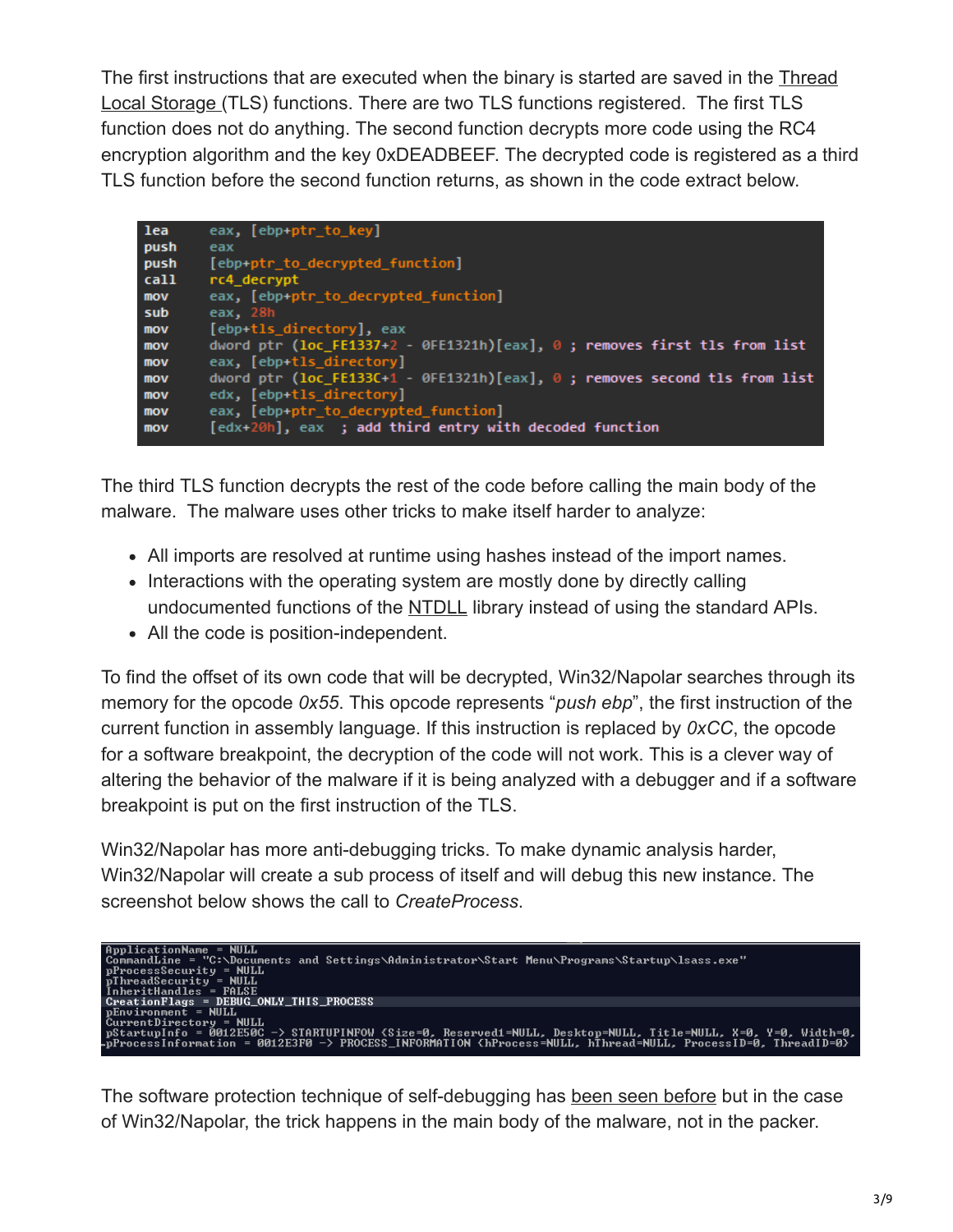[The first instructions that are executed when the binary is started are saved in the Thread](https://en.wikipedia.org/wiki/Thread-local_storage) Local Storage (TLS) functions. There are two TLS functions registered. The first TLS function does not do anything. The second function decrypts more code using the RC4 encryption algorithm and the key 0xDEADBEEF. The decrypted code is registered as a third TLS function before the second function returns, as shown in the code extract below.

| lea  | eax, [ebp+ptr_to_key]                                                            |
|------|----------------------------------------------------------------------------------|
| push | eax                                                                              |
| push | [ebp+ptr_to_decrypted_function]                                                  |
| call | rc4 decrypt                                                                      |
| mov  | eax, [ebp+ptr_to_decrypted_function]                                             |
| sub  | eax, 28h                                                                         |
| mov  | [ebp+tls directory], eax                                                         |
| mov  | dword ptr (loc_FE1337+2 - 0FE1321h)[eax], $\theta$ ; removes first tls from list |
| mov  | eax, [ebp+tls directory]                                                         |
| mov  | dword ptr ( $loc$ FE133C+1 - 0FE1321h)[eax], 0 ; removes second tls from list    |
| mov  | edx, [ebp+tls directory]                                                         |
| mov  | eax, [ebp+ptr_to_decrypted_function]                                             |
| mov  | [edx+20h], eax ; add third entry with decoded function                           |
|      |                                                                                  |

The third TLS function decrypts the rest of the code before calling the main body of the malware. The malware uses other tricks to make itself harder to analyze:

- All imports are resolved at runtime using hashes instead of the import names.
- Interactions with the operating system are mostly done by directly calling undocumented functions of the [NTDLL](https://en.wikipedia.org/wiki/Microsoft_Windows_library_files#NTDLL.DLL) library instead of using the standard APIs.
- All the code is position-independent.

To find the offset of its own code that will be decrypted, Win32/Napolar searches through its memory for the opcode *0x55*. This opcode represents "*push ebp*", the first instruction of the current function in assembly language. If this instruction is replaced by *0xCC*, the opcode for a software breakpoint, the decryption of the code will not work. This is a clever way of altering the behavior of the malware if it is being analyzed with a debugger and if a software breakpoint is put on the first instruction of the TLS.

Win32/Napolar has more anti-debugging tricks. To make dynamic analysis harder, Win32/Napolar will create a sub process of itself and will debug this new instance. The screenshot below shows the call to *CreateProcess*.



The software protection technique of self-debugging has [been seen before](https://blog.avast.com/2013/05/29/analysis-of-a-self-debugging-sirefef-cryptor/) but in the case of Win32/Napolar, the trick happens in the main body of the malware, not in the packer.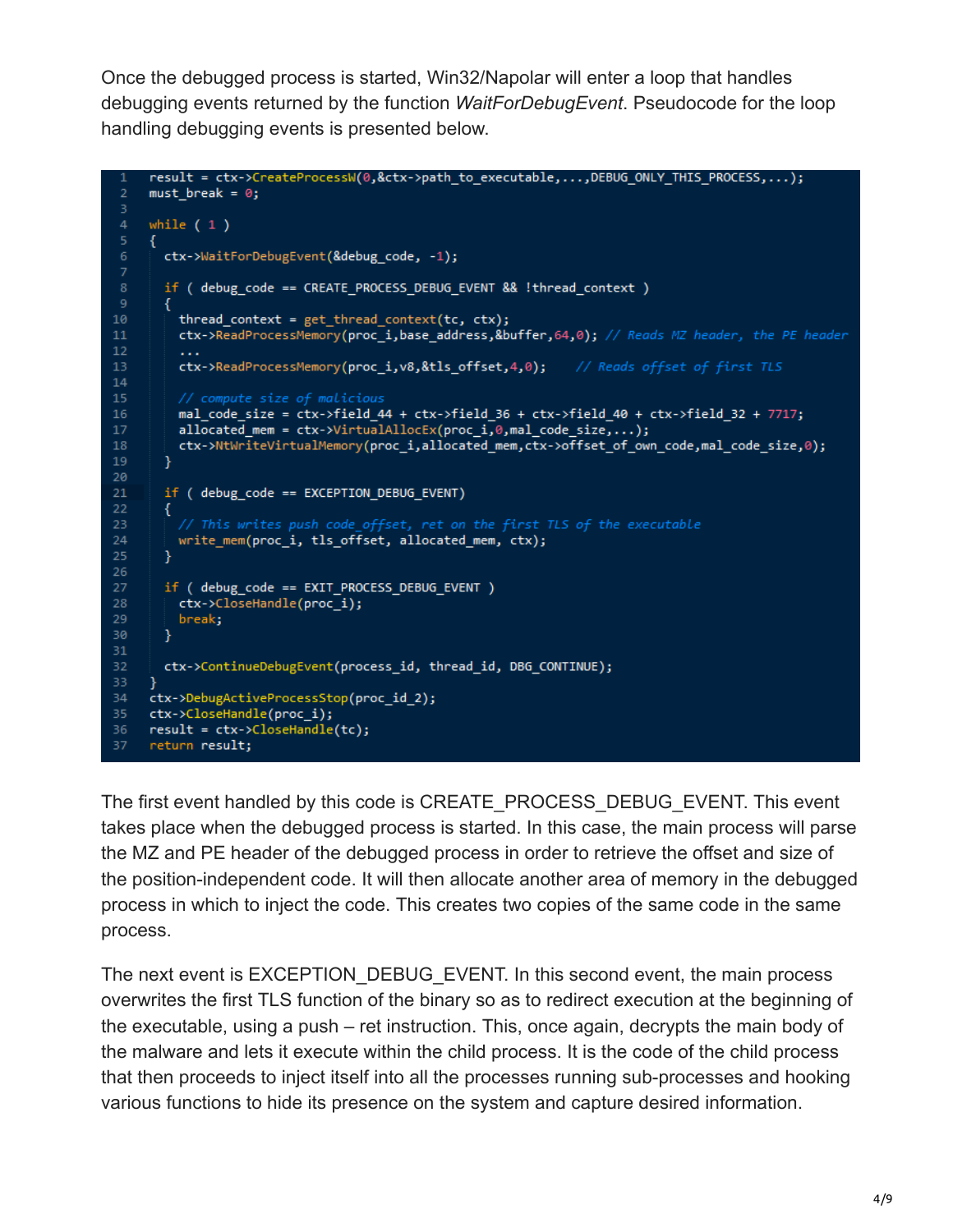Once the debugged process is started, Win32/Napolar will enter a loop that handles debugging events returned by the function *WaitForDebugEvent*. Pseudocode for the loop handling debugging events is presented below.

```
result = ctx->CreateProcessW(0,&ctx->path_to_executable,...,DEBUG_ONLY_THIS_PROCESS,...);
     must break = \theta;
 з
     while (1)ctx->WaitForDebugEvent(&debug_code, -1);
       if ( debug code == CREATE PROCESS DEBUG EVENT && ! thread context )
       €
10
         thread context = get thread context(tc, ctx);
         ctx->ReadProcessMemory(proc_i,base_address,&buffer,64,0); // Reads MZ header, the PE header
12\,\mathbf{r} , \mathbf{r}13<sub>1</sub>ctx->ReadProcessMemory(proc_i,v8,&tls_offset,4,0); // Reads offset of first TLS
1415<sub>1</sub>// compute size of malicious
         mal code size = ctx->field 44 + ctx->field 36 + ctx->field 40 + ctx->field 32 + 7717;
16<sup>-</sup>allocated_mean = ctx->VirtualAllocEx(proc_i, 0, mal_code_size, ...);ctx->NtWriteVirtualMemory(proc_i,allocated_mem,ctx->offset_of_own_code,mal_code_size,0);
19
       }
20
       if ( debug code == EXCEPTION DEBUG EVENT)
2122
       €
23
         // This writes push code offset, ret on the first TLS of the executable
         write_mem(proc_i, tls_offset, allocated_mem, ctx);
24
25
       ł
26
       if ( debug_code == EXIT_PROCESS_DEBUG_EVENT )
27
28
       ctx->CloseHandle(proc_i);
29
         break;
30
       Y
3132<sub>1</sub>ctx->ContinueDebugEvent(process_id, thread_id, DBG_CONTINUE);
33
34<sup>°</sup>ctx->DebugActiveProcessStop(proc id 2);
     ctx->CloseHandle(proc_i);
     result = ctx->CloseHandle(tc);36
     return result;
37
```
The first event handled by this code is CREATE\_PROCESS\_DEBUG\_EVENT. This event takes place when the debugged process is started. In this case, the main process will parse the MZ and PE header of the debugged process in order to retrieve the offset and size of the position-independent code. It will then allocate another area of memory in the debugged process in which to inject the code. This creates two copies of the same code in the same process.

The next event is EXCEPTION\_DEBUG\_EVENT. In this second event, the main process overwrites the first TLS function of the binary so as to redirect execution at the beginning of the executable, using a push – ret instruction. This, once again, decrypts the main body of the malware and lets it execute within the child process. It is the code of the child process that then proceeds to inject itself into all the processes running sub-processes and hooking various functions to hide its presence on the system and capture desired information.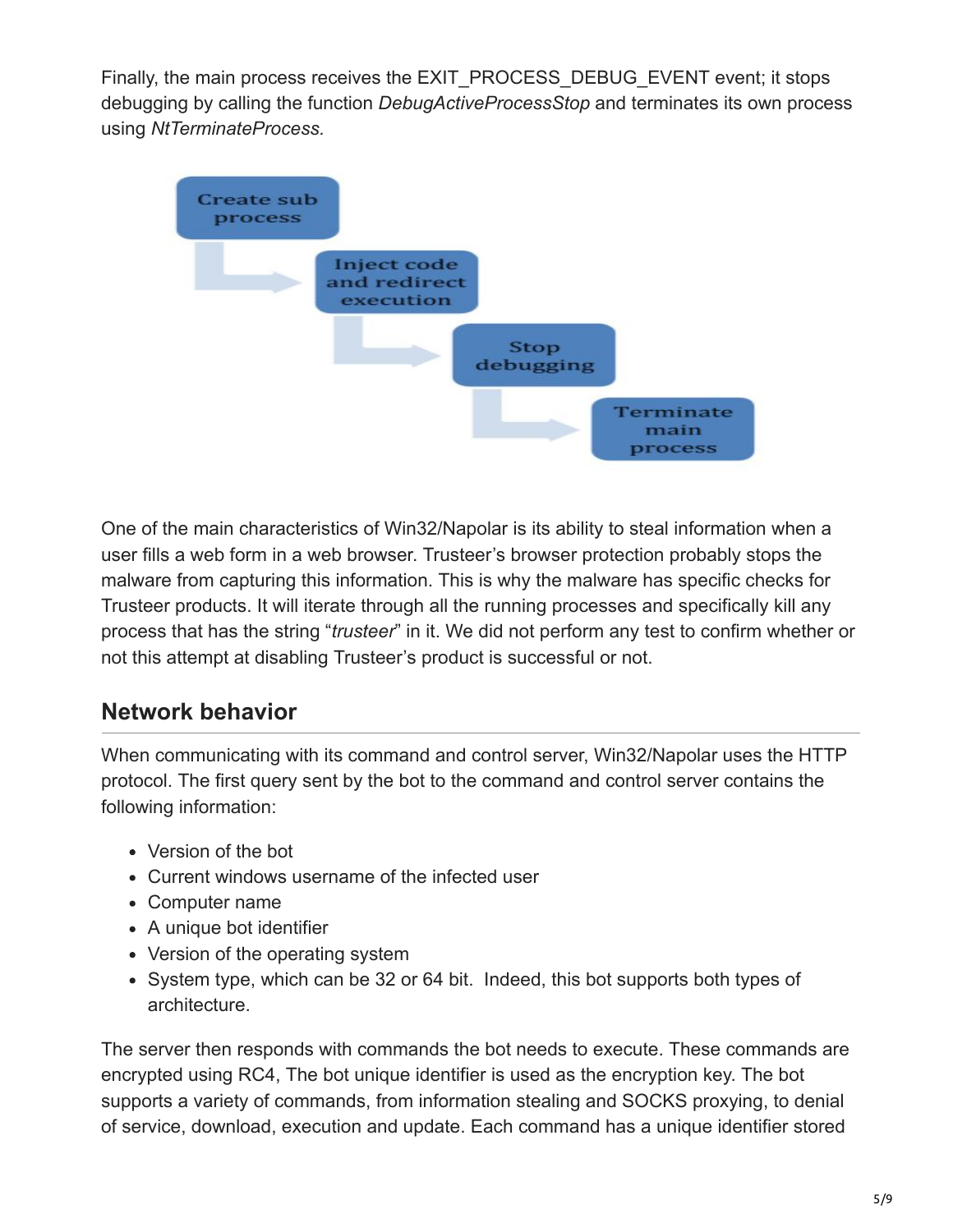Finally, the main process receives the EXIT\_PROCESS\_DEBUG\_EVENT event; it stops debugging by calling the function *DebugActiveProcessStop* and terminates its own process using *NtTerminateProcess.*



One of the main characteristics of Win32/Napolar is its ability to steal information when a user fills a web form in a web browser. Trusteer's browser protection probably stops the malware from capturing this information. This is why the malware has specific checks for Trusteer products. It will iterate through all the running processes and specifically kill any process that has the string "*trusteer*" in it. We did not perform any test to confirm whether or not this attempt at disabling Trusteer's product is successful or not.

## **Network behavior**

When communicating with its command and control server, Win32/Napolar uses the HTTP protocol. The first query sent by the bot to the command and control server contains the following information:

- Version of the bot
- Current windows username of the infected user
- Computer name
- A unique bot identifier
- Version of the operating system
- System type, which can be 32 or 64 bit. Indeed, this bot supports both types of architecture.

The server then responds with commands the bot needs to execute. These commands are encrypted using RC4, The bot unique identifier is used as the encryption key. The bot supports a variety of commands, from information stealing and SOCKS proxying, to denial of service, download, execution and update. Each command has a unique identifier stored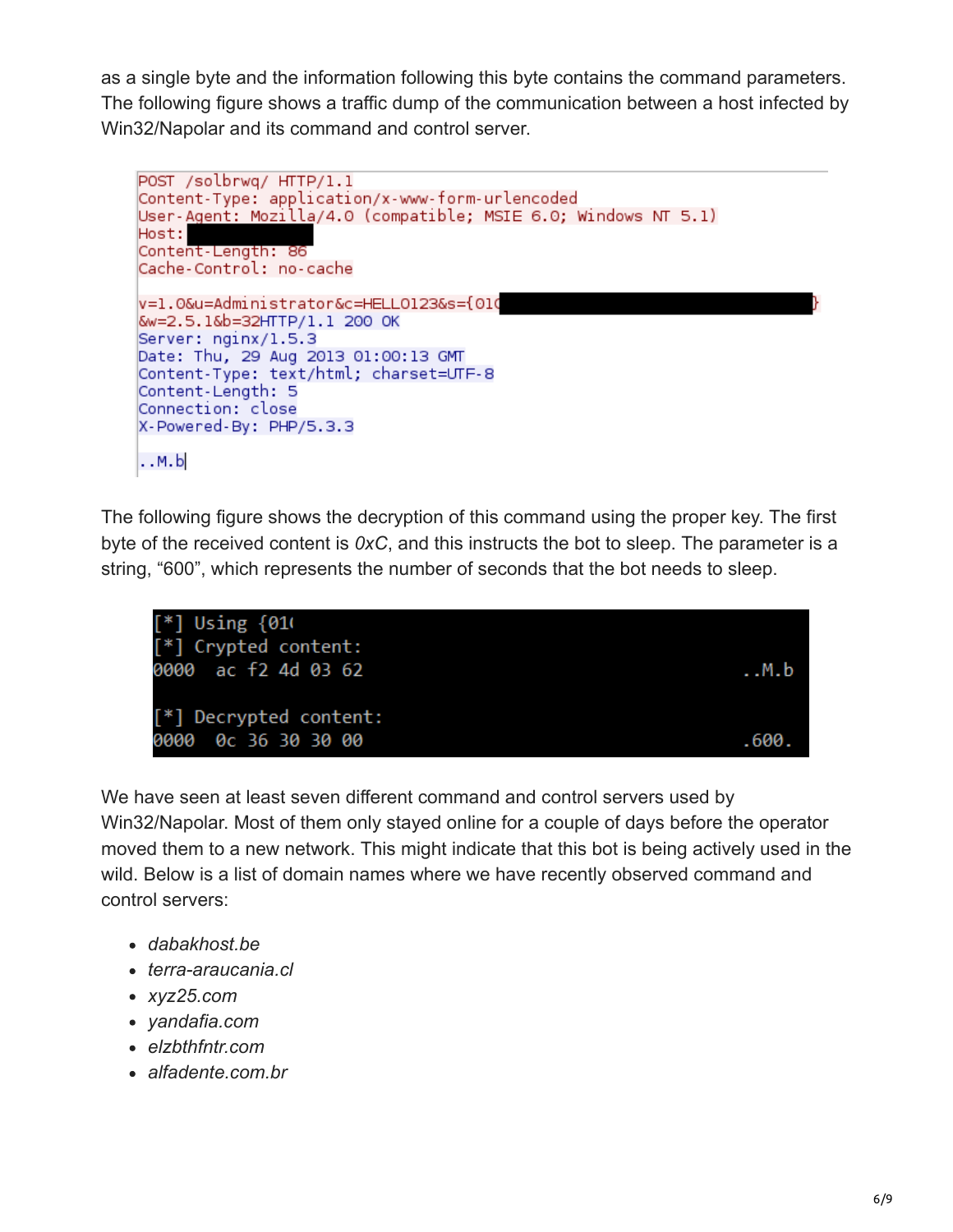as a single byte and the information following this byte contains the command parameters. The following figure shows a traffic dump of the communication between a host infected by Win32/Napolar and its command and control server.

```
POST /solbrwq/ HTTP/1.1
Content-Type: application/x-www-form-urlencoded
User-Agent: Mozilla/4.0 (compatible; MSIE 6.0; Windows NT 5.1)
Host:
Content-Length: 86
Cache-Control: no-cache
v=1.0&u=Administrator&c=HELL0123&s={010
&w=2.5.1&b=32HTTP/1.1 200 OK
Server: nginx/1.5.3
Date: Thu, 29 Aug 2013 01:00:13 GMT
Content-Type: text/html; charset=UTF-8
Content-Length: 5
Connection: close
X-Powered-By: PHP/5.3.3
..M.b
```
The following figure shows the decryption of this command using the proper key. The first byte of the received content is *0xC*, and this instructs the bot to sleep. The parameter is a string, "600", which represents the number of seconds that the bot needs to sleep.



We have seen at least seven different command and control servers used by Win32/Napolar. Most of them only stayed online for a couple of days before the operator moved them to a new network. This might indicate that this bot is being actively used in the wild. Below is a list of domain names where we have recently observed command and control servers:

- *dabakhost.be*
- *terra-araucania.cl*
- *xyz25.com*
- *yandafia.com*
- *elzbthfntr.com*
- *alfadente.com.br*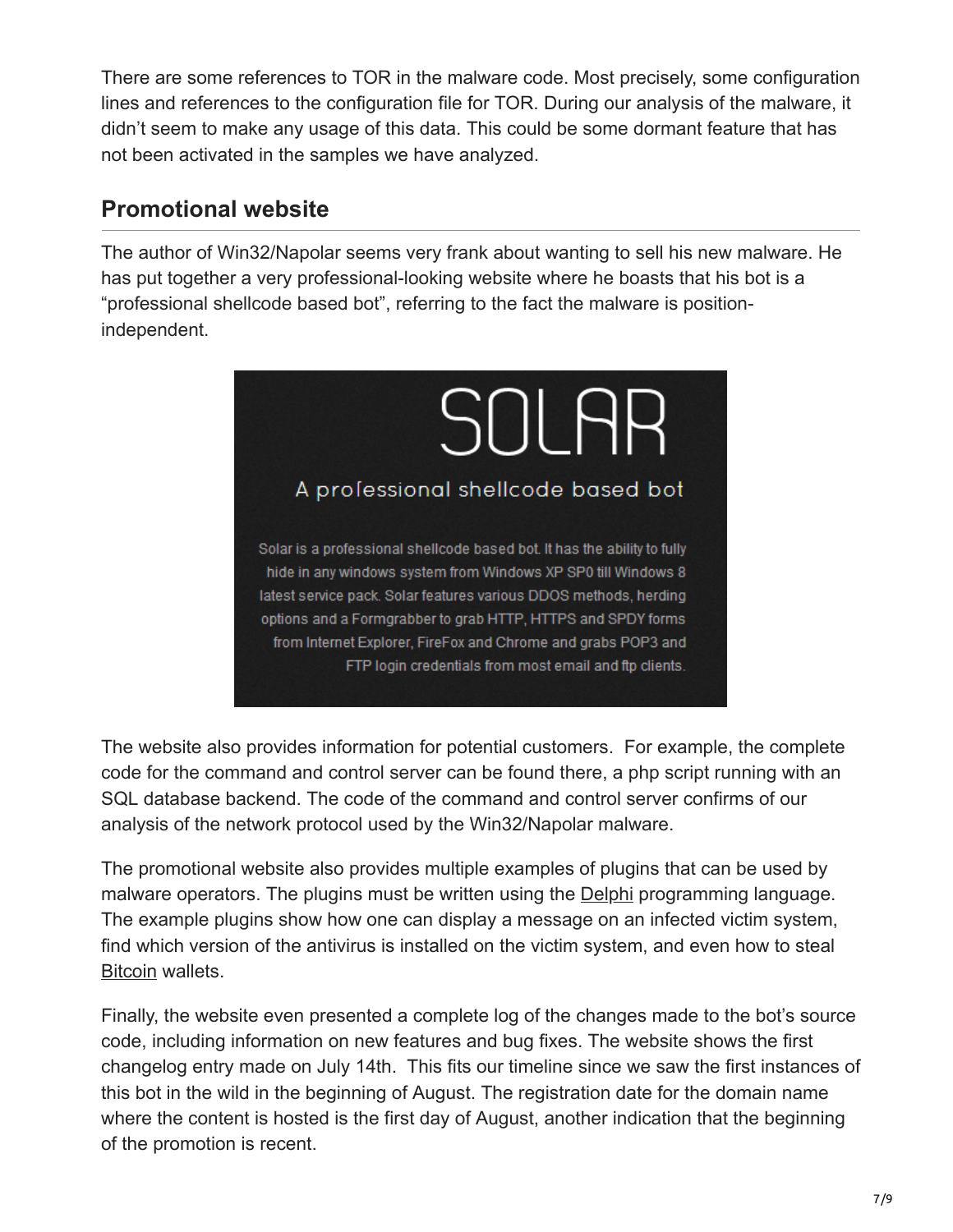There are some references to TOR in the malware code. Most precisely, some configuration lines and references to the configuration file for TOR. During our analysis of the malware, it didn't seem to make any usage of this data. This could be some dormant feature that has not been activated in the samples we have analyzed.

#### **Promotional website**

The author of Win32/Napolar seems very frank about wanting to sell his new malware. He has put together a very professional-looking website where he boasts that his bot is a "professional shellcode based bot", referring to the fact the malware is positionindependent.



The website also provides information for potential customers. For example, the complete code for the command and control server can be found there, a php script running with an SQL database backend. The code of the command and control server confirms of our analysis of the network protocol used by the Win32/Napolar malware.

The promotional website also provides multiple examples of plugins that can be used by malware operators. The plugins must be written using the **[Delphi](https://www.welivesecurity.com/category/delphi/)** programming language. The example plugins show how one can display a message on an infected victim system, find which version of the antivirus is installed on the victim system, and even how to steal [Bitcoin](https://www.welivesecurity.com/search/?s=Bitcoin&x=0&y=0) wallets.

Finally, the website even presented a complete log of the changes made to the bot's source code, including information on new features and bug fixes. The website shows the first changelog entry made on July 14th. This fits our timeline since we saw the first instances of this bot in the wild in the beginning of August. The registration date for the domain name where the content is hosted is the first day of August, another indication that the beginning of the promotion is recent.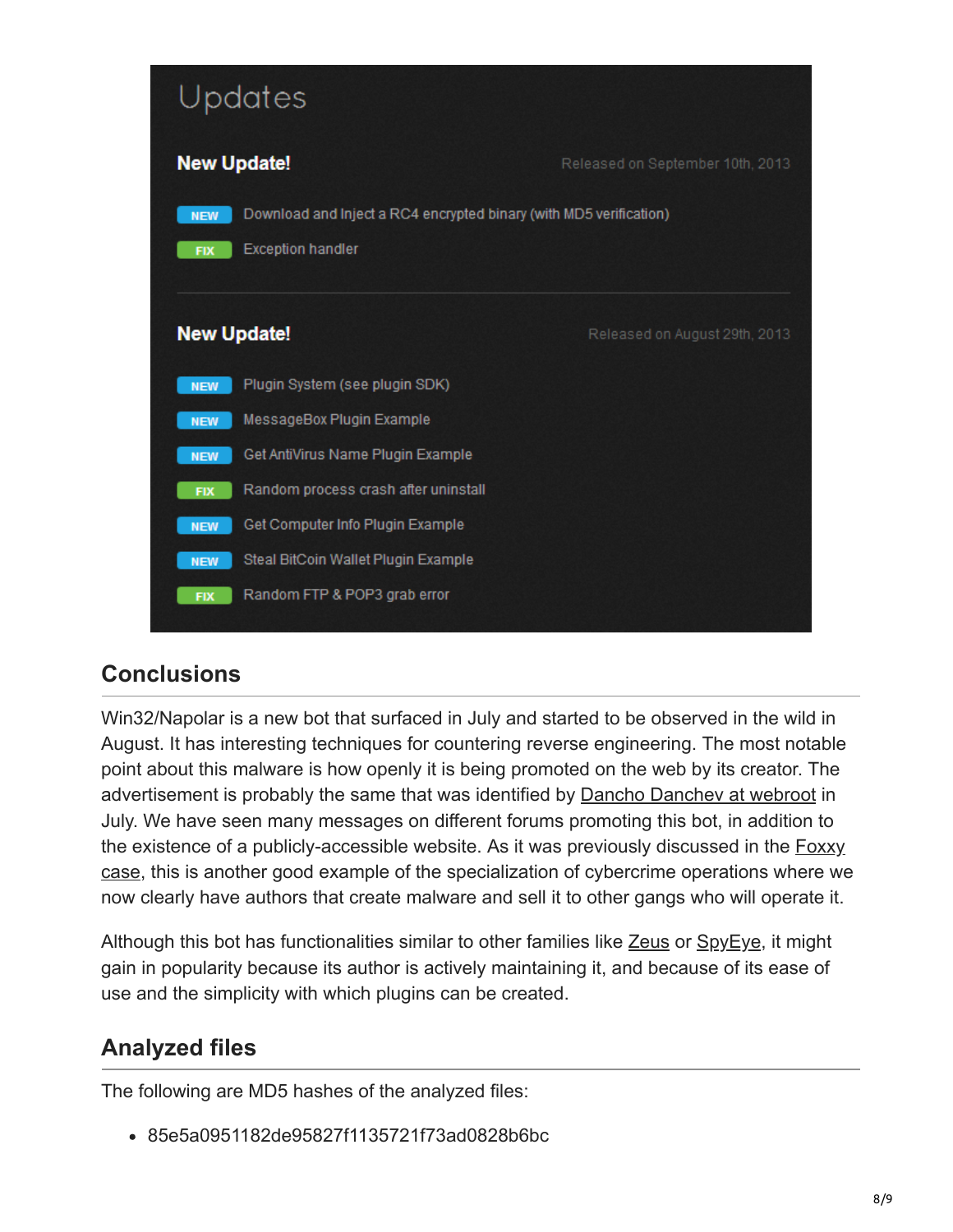

## **Conclusions**

Win32/Napolar is a new bot that surfaced in July and started to be observed in the wild in August. It has interesting techniques for countering reverse engineering. The most notable point about this malware is how openly it is being promoted on the web by its creator. The advertisement is probably the same that was identified by **[Dancho Danchev at webroot](http://www.webroot.com/blog/2013/07/02/cybercriminals-experiment-with-tor-based-cc-ring-3-rootkit-empowered-spdy-form-grabbing-malware-bot/)** in July. We have seen many messages on different forums promoting this bot, in addition to [the existence of a publicly-accessible website. As it was previously discussed in the Foxxy](https://www.welivesecurity.com/2012/08/07/foxxy-software-outfoxed/) case, this is another good example of the specialization of cybercrime operations where we now clearly have authors that create malware and sell it to other gangs who will operate it.

Although this bot has functionalities similar to other families like [Zeus](https://www.welivesecurity.com/search/?s=Zeus&x=0&y=0) or [SpyEye](https://www.welivesecurity.com/search/?s=SpyEye&x=0&y=0), it might gain in popularity because its author is actively maintaining it, and because of its ease of use and the simplicity with which plugins can be created.

## **Analyzed files**

The following are MD5 hashes of the analyzed files:

85e5a0951182de95827f1135721f73ad0828b6bc